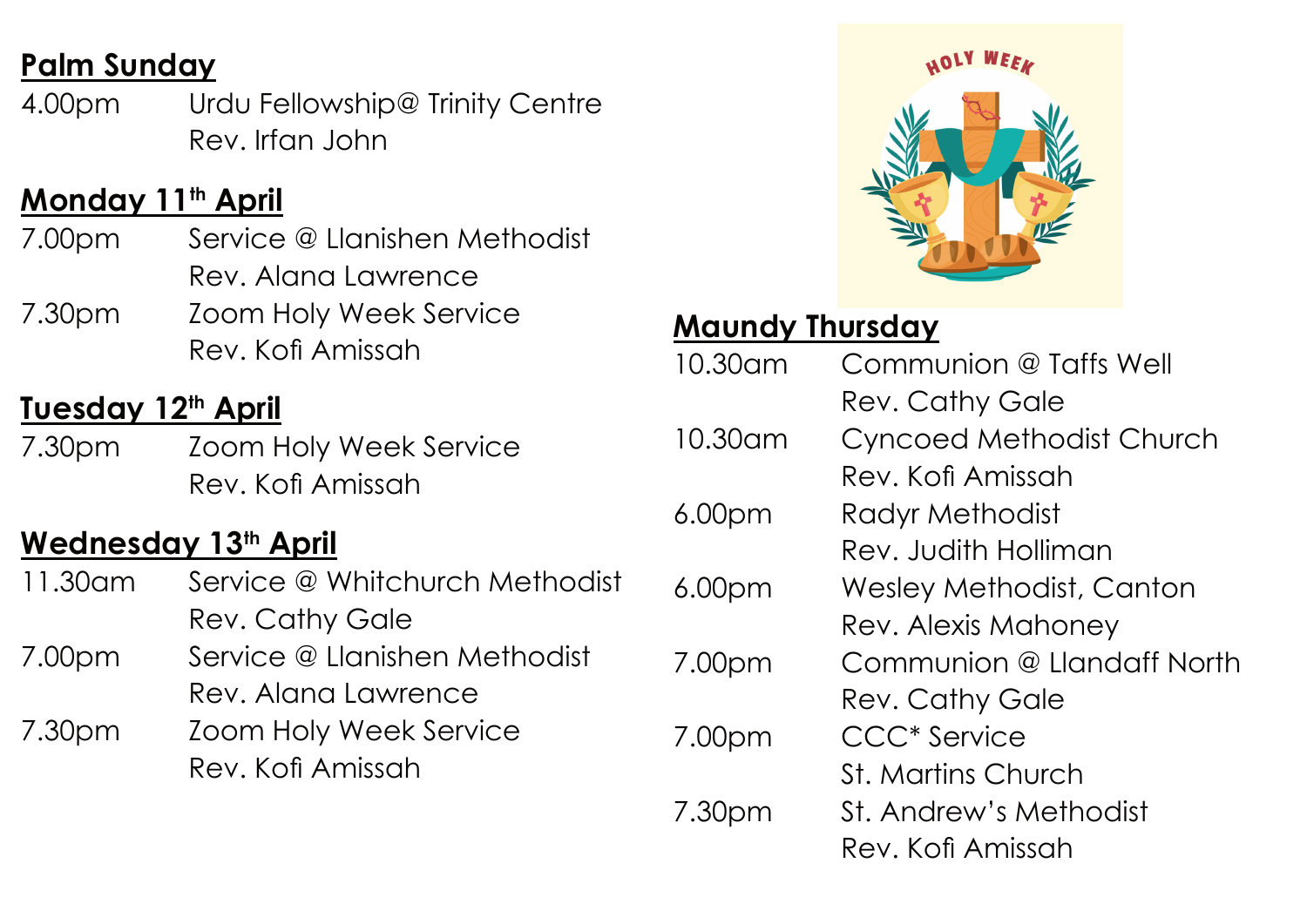# **Palm Sunday**

4.00pm Urdu Fellowship@ Trinity Centre Rev. Irfan John

### **Monday 11th April**

- 7.00pm Service @ Llanishen Methodist Rev. Alana Lawrence
- 7.30pm Zoom Holy Week Service Rev. Kofi Amissah

### **Tuesday 12th April**

7.30pm Zoom Holy Week Service Rev. Kofi Amissah

#### **Wednesday 13th April**

- 11.30am Service @ Whitchurch Methodist Rev. Cathy Gale
- 7.00pm Service @ Llanishen Methodist Rev. Alana Lawrence
- 7.30pm Zoom Holy Week Service Rev. Kofi Amissah



### **Maundy Thursday**

| 10.30am            | Communion @ Taffs Well    |
|--------------------|---------------------------|
|                    | <b>Rev. Cathy Gale</b>    |
| 10.30am            | Cyncoed Methodist Church  |
|                    | Rev. Kofi Amissah         |
| 6.00 <sub>pm</sub> | Radyr Methodist           |
|                    | Rev. Judith Holliman      |
| 6.00 <sub>pm</sub> | Wesley Methodist, Canton  |
|                    | Rev. Alexis Mahoney       |
| 7.00pm             | Communion @ Handaff North |
|                    | <b>Rev. Cathy Gale</b>    |
| 7.00pm             | <b>CCC* Service</b>       |
|                    | St. Martins Church        |
| 7.30pm             | St. Andrew's Methodist    |
|                    | Rev. Kofi Amissah         |